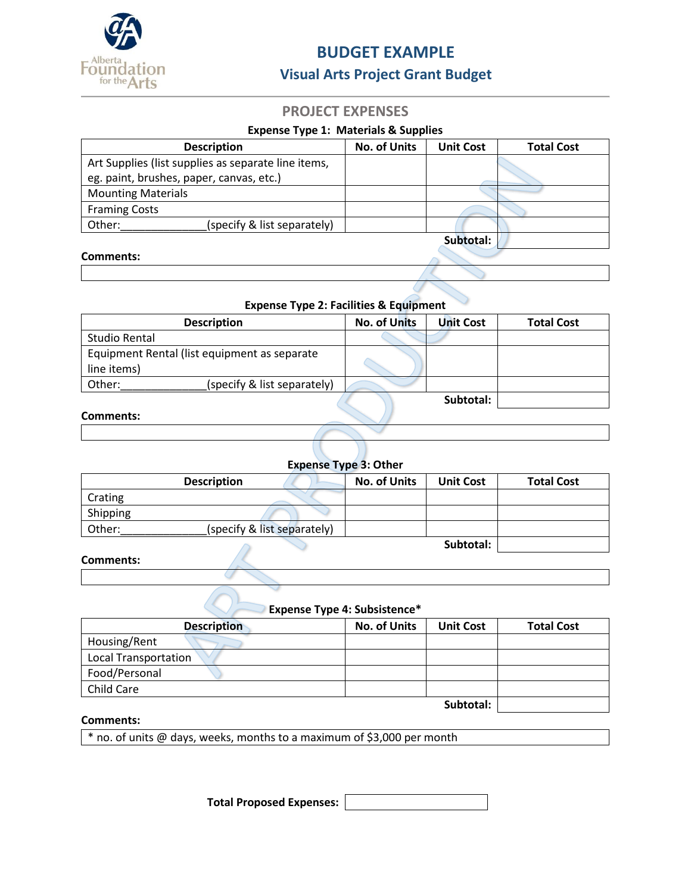

# **BUDGET EXAMPLE**

## **Visual Arts Project Grant Budget**

## **PROJECT EXPENSES**

#### **Expense Type 1: Materials & Supplies**

| <b>Description</b>                                  | <b>No. of Units</b> | <b>Unit Cost</b> | <b>Total Cost</b> |
|-----------------------------------------------------|---------------------|------------------|-------------------|
| Art Supplies (list supplies as separate line items, |                     |                  |                   |
| eg. paint, brushes, paper, canvas, etc.)            |                     |                  |                   |
| <b>Mounting Materials</b>                           |                     |                  |                   |
| <b>Framing Costs</b>                                |                     |                  |                   |
| Other:<br>(specify & list separately)               |                     |                  |                   |
|                                                     |                     | Subtotal:        |                   |
| Comments:                                           |                     |                  |                   |

## **Expense Type 2: Facilities & Equipment**

| <b>Description</b>                                          | <b>No. of Units</b> | Unit Cost | <b>Total Cost</b> |
|-------------------------------------------------------------|---------------------|-----------|-------------------|
| Studio Rental                                               |                     |           |                   |
| Equipment Rental (list equipment as separate<br>line items) |                     |           |                   |
| Other:<br>(specify & list separately)                       |                     |           |                   |
| Commante:                                                   |                     | Subtotal: |                   |

#### **Comments:**

| <b>Expense Type 3: Other</b> |                             |                     |                  |                   |
|------------------------------|-----------------------------|---------------------|------------------|-------------------|
|                              | <b>Description</b>          | <b>No. of Units</b> | <b>Unit Cost</b> | <b>Total Cost</b> |
| Crating                      |                             |                     |                  |                   |
| Shipping                     |                             |                     |                  |                   |
| Other:                       | (specify & list separately) |                     |                  |                   |
|                              |                             |                     | Subtotal:        |                   |

#### **Comments:**

### **Expense Type 4: Subsistence\***

| <b>Description</b>          | <b>No. of Units</b> | <b>Unit Cost</b> | <b>Total Cost</b> |
|-----------------------------|---------------------|------------------|-------------------|
| Housing/Rent                |                     |                  |                   |
| <b>Local Transportation</b> |                     |                  |                   |
| Food/Personal               |                     |                  |                   |
| Child Care                  |                     |                  |                   |
|                             |                     | Subtotal:        |                   |

### **Comments:**

\* no. of units @ days, weeks, months to a maximum of \$3,000 per month

**Total Proposed Expenses:**